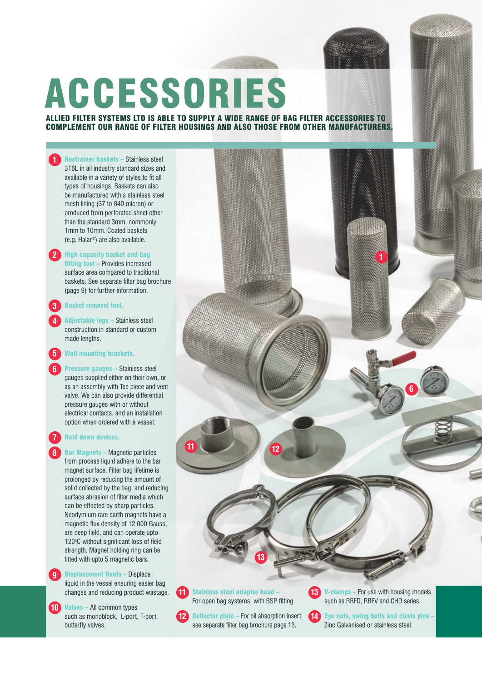

## ACCESSORIES

## ALLIED FILTER SYSTEMS LTD IS ABLE TO SUPPLY A WIDE RANGE OF BAG FILTER ACCESSORIES TO COMPLEMENT OUR RANGE OF FILTER HOUSINGS AND ALSO THOSE FROM OTHER MANUFACTURERS.

## **1** Restrainer baskets – Stainless steel 316L in all industry standard sizes and available in a variety of styles to fit all types of housings. Baskets can also be manufactured with a stainless steel mesh lining (37 to 840 micron) or produced from perforated sheet other than the standard 3mm, commonly 1mm to 10mm. Coated baskets (e.g. Halar®) are also available. **2** High capacity basket and bag fitting tool – Provides increased surface area compared to traditional baskets. See separate filter bag brochure (page 9) for further information. **3** Basket removal tool. **4** Adjustable legs – Stainless steel construction in standard or custom made lengths. **5** Wall mounting brackets. **Pressure gauges – Stainless steel** gauges supplied either on their own, or as an assembly with Tee piece and vent valve. We can also provide differential pressure gauges with or without electrical contacts, and an installation option when ordered with a vessel. **7** Hold down devices. **Bar Magnets – Magnetic particles** from process liquid adhere to the bar magnet surface. Filter bag lifetime is prolonged by reducing the amount of solid collected by the bag, and reducing surface abrasion of filter media which can be effected by sharp particles. Neodymium rare earth magnets have a magnetic flux density of 12,000 Gauss, are deep field, and can operate upto 120 °C without significant loss of field strength. Magnet holding ring can be fitted with upto 5 magnetic bars. **9** Displacement floats – Displace liquid in the vessel ensuring easier bag changes and reducing product wastage. **10** Valves – All common types **11** Stainless steel adaptor head -For open bag systems, with BSP fitting. **13** V-clamps – For use with housing models such as RBFD, RBFV and CHD series. **1 6 11 12 12 13**

**Deflector plate** – For oil absorption insert, see separate filter bag brochure page 13.

such as monoblock, L-port, T-port,

butterfly valves.

**14** Eye nuts, swing bolts and clevis pins -Zinc Galvanised or stainless steel.